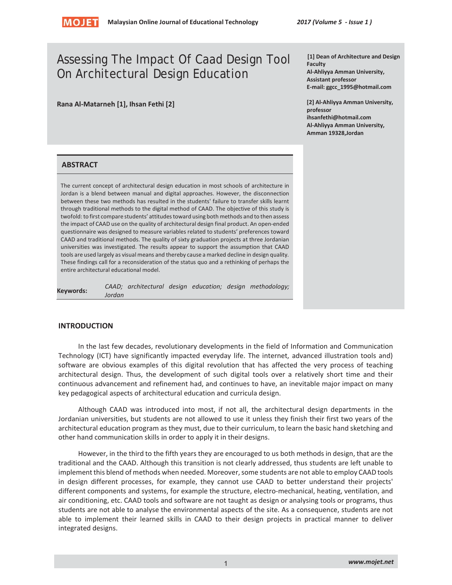

# Assessing The Impact Of Caad Design Tool On Architectural Design Education

**Rana Al-Matarneh [1], Ihsan Fethi [2]** 

**[1] Dean of Architecture and Design Faculty Al-Ahliyya Amman University, Assistant professor E-mail: ggcc\_1995@hotmail.com** 

**[2] Al-Ahliyya Amman University, professor ihsanfethi@hotmail.com Al-Ahliyya Amman University, Amman 19328,Jordan** 

#### **ABSTRACT**

The current concept of architectural design education in most schools of architecture in Jordan is a blend between manual and digital approaches. However, the disconnection between these two methods has resulted in the students' failure to transfer skills learnt through traditional methods to the digital method of CAAD. The objective of this study is twofold: to first compare students' attitudes toward using both methods and to then assess the impact of CAAD use on the quality of architectural design final product. An open-ended questionnaire was designed to measure variables related to students' preferences toward CAAD and traditional methods. The quality of sixty graduation projects at three Jordanian universities was investigated. The results appear to support the assumption that CAAD tools are used largely as visual means and thereby cause a marked decline in design quality. These findings call for a reconsideration of the status quo and a rethinking of perhaps the entire architectural educational model.

| Keywords: |        |  |  | CAAD; architectural design education; design methodology; |
|-----------|--------|--|--|-----------------------------------------------------------|
|           | Jordan |  |  |                                                           |

#### **INTRODUCTION**

In the last few decades, revolutionary developments in the field of Information and Communication Technology (ICT) have significantly impacted everyday life. The internet, advanced illustration tools and) software are obvious examples of this digital revolution that has affected the very process of teaching architectural design. Thus, the development of such digital tools over a relatively short time and their continuous advancement and refinement had, and continues to have, an inevitable major impact on many key pedagogical aspects of architectural education and curricula design.

Although CAAD was introduced into most, if not all, the architectural design departments in the Jordanian universities, but students are not allowed to use it unless they finish their first two years of the architectural education program as they must, due to their curriculum, to learn the basic hand sketching and other hand communication skills in order to apply it in their designs.

However, in the third to the fifth years they are encouraged to us both methods in design, that are the traditional and the CAAD. Although this transition is not clearly addressed, thus students are left unable to implement this blend of methods when needed. Moreover, some students are not able to employ CAAD tools in design different processes, for example, they cannot use CAAD to better understand their projects' different components and systems, for example the structure, electro-mechanical, heating, ventilation, and air conditioning, etc. CAAD tools and software are not taught as design or analysing tools or programs, thus students are not able to analyse the environmental aspects of the site. As a consequence, students are not able to implement their learned skills in CAAD to their design projects in practical manner to deliver integrated designs.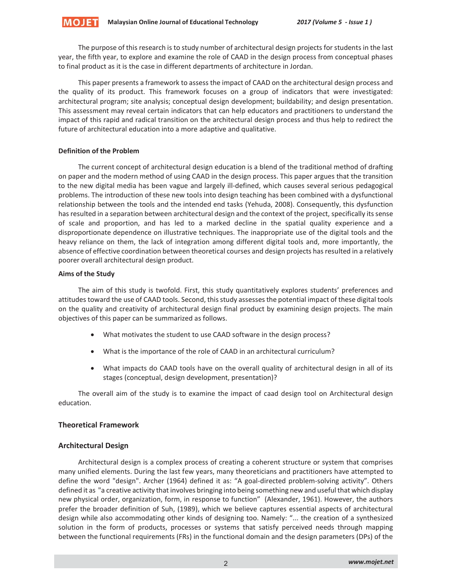The purpose of this research is to study number of architectural design projects for students in the last year, the fifth year, to explore and examine the role of CAAD in the design process from conceptual phases to final product as it is the case in different departments of architecture in Jordan.

This paper presents a framework to assess the impact of CAAD on the architectural design process and the quality of its product. This framework focuses on a group of indicators that were investigated: architectural program; site analysis; conceptual design development; buildability; and design presentation. This assessment may reveal certain indicators that can help educators and practitioners to understand the impact of this rapid and radical transition on the architectural design process and thus help to redirect the future of architectural education into a more adaptive and qualitative.

## **Definition of the Problem**

The current concept of architectural design education is a blend of the traditional method of drafting on paper and the modern method of using CAAD in the design process. This paper argues that the transition to the new digital media has been vague and largely ill-defined, which causes several serious pedagogical problems. The introduction of these new tools into design teaching has been combined with a dysfunctional relationship between the tools and the intended end tasks (Yehuda, 2008). Consequently, this dysfunction has resulted in a separation between architectural design and the context of the project, specifically its sense of scale and proportion, and has led to a marked decline in the spatial quality experience and a disproportionate dependence on illustrative techniques. The inappropriate use of the digital tools and the heavy reliance on them, the lack of integration among different digital tools and, more importantly, the absence of effective coordination between theoretical courses and design projects has resulted in a relatively poorer overall architectural design product.

## **Aims of the Study**

The aim of this study is twofold. First, this study quantitatively explores students' preferences and attitudes toward the use of CAAD tools. Second, this study assesses the potential impact of these digital tools on the quality and creativity of architectural design final product by examining design projects. The main objectives of this paper can be summarized as follows.

- What motivates the student to use CAAD software in the design process?
- What is the importance of the role of CAAD in an architectural curriculum?
- What impacts do CAAD tools have on the overall quality of architectural design in all of its stages (conceptual, design development, presentation)?

The overall aim of the study is to examine the impact of caad design tool on Architectural design education.

## **Theoretical Framework**

## **Architectural Design**

Architectural design is a complex process of creating a coherent structure or system that comprises many unified elements. During the last few years, many theoreticians and practitioners have attempted to define the word "design". Archer (1964) defined it as: "A goal-directed problem-solving activity". Others defined it as "a creative activity that involves bringing into being something new and useful that which display new physical order, organization, form, in response to function" (Alexander, 1961). However, the authors prefer the broader definition of Suh, (1989), which we believe captures essential aspects of architectural design while also accommodating other kinds of designing too. Namely: "... the creation of a synthesized solution in the form of products, processes or systems that satisfy perceived needs through mapping between the functional requirements (FRs) in the functional domain and the design parameters (DPs) of the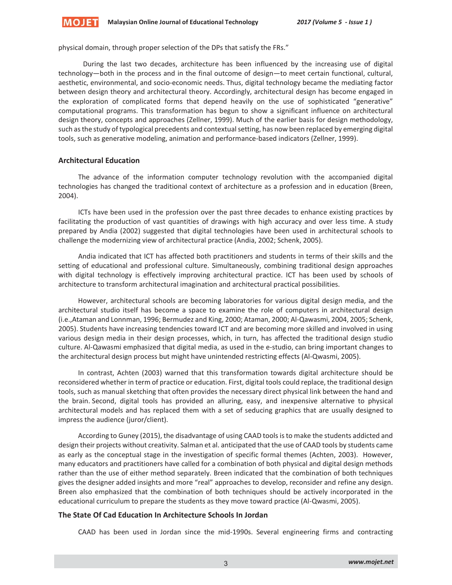

physical domain, through proper selection of the DPs that satisfy the FRs."

 During the last two decades, architecture has been influenced by the increasing use of digital technology—both in the process and in the final outcome of design—to meet certain functional, cultural, aesthetic, environmental, and socio-economic needs. Thus, digital technology became the mediating factor between design theory and architectural theory. Accordingly, architectural design has become engaged in the exploration of complicated forms that depend heavily on the use of sophisticated "generative" computational programs. This transformation has begun to show a significant influence on architectural design theory, concepts and approaches (Zellner, 1999). Much of the earlier basis for design methodology, such as the study of typological precedents and contextual setting, has now been replaced by emerging digital tools, such as generative modeling, animation and performance-based indicators (Zellner, 1999).

## **Architectural Education**

The advance of the information computer technology revolution with the accompanied digital technologies has changed the traditional context of architecture as a profession and in education (Breen, 2004).

ICTs have been used in the profession over the past three decades to enhance existing practices by facilitating the production of vast quantities of drawings with high accuracy and over less time. A study prepared by Andia (2002) suggested that digital technologies have been used in architectural schools to challenge the modernizing view of architectural practice (Andia, 2002; Schenk, 2005).

Andia indicated that ICT has affected both practitioners and students in terms of their skills and the setting of educational and professional culture. Simultaneously, combining traditional design approaches with digital technology is effectively improving architectural practice. ICT has been used by schools of architecture to transform architectural imagination and architectural practical possibilities.

However, architectural schools are becoming laboratories for various digital design media, and the architectural studio itself has become a space to examine the role of computers in architectural design (i.e.,Ataman and Lonnman, 1996; Bermudez and King, 2000; Ataman, 2000; Al-Qawasmi, 2004, 2005; Schenk, 2005). Students have increasing tendencies toward ICT and are becoming more skilled and involved in using various design media in their design processes, which, in turn, has affected the traditional design studio culture. Al-Qawasmi emphasized that digital media, as used in the e-studio, can bring important changes to the architectural design process but might have unintended restricting effects (Al-Qwasmi, 2005).

In contrast, Achten (2003) warned that this transformation towards digital architecture should be reconsidered whether in term of practice or education. First, digital tools could replace, the traditional design tools, such as manual sketching that often provides the necessary direct physical link between the hand and the brain. Second, digital tools has provided an alluring, easy, and inexpensive alternative to physical architectural models and has replaced them with a set of seducing graphics that are usually designed to impress the audience (juror/client).

According to Guney (2015), the disadvantage of using CAAD tools is to make the students addicted and design their projects without creativity. Salman et al. anticipated that the use of CAAD tools by students came as early as the conceptual stage in the investigation of specific formal themes (Achten, 2003). However, many educators and practitioners have called for a combination of both physical and digital design methods rather than the use of either method separately. Breen indicated that the combination of both techniques gives the designer added insights and more "real" approaches to develop, reconsider and refine any design. Breen also emphasized that the combination of both techniques should be actively incorporated in the educational curriculum to prepare the students as they move toward practice (Al-Qwasmi, 2005).

#### **The State Of Cad Education In Architecture Schools In Jordan**

CAAD has been used in Jordan since the mid-1990s. Several engineering firms and contracting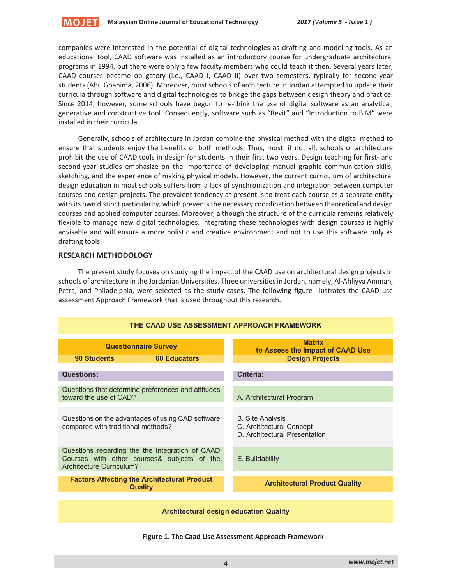

companies were interested in the potential of digital technologies as drafting and modeling tools. As an educational tool, CAAD software was installed as an introductory course for undergraduate architectural programs in 1994, but there were only a few faculty members who could teach it then. Several years later, CAAD courses became obligatory (i.e., CAAD I, CAAD II) over two semesters, typically for second-year students (Abu Ghanima, 2006). Moreover, most schools of architecture in Jordan attempted to update their curricula through software and digital technologies to bridge the gaps between design theory and practice. Since 2014, however, some schools have begun to re-think the use of digital software as an analytical, generative and constructive tool. Consequently, software such as "Revit" and "Introduction to BIM" were installed in their curricula.

Generally, schools of architecture in Jordan combine the physical method with the digital method to ensure that students enjoy the benefits of both methods. Thus, most, if not all, schools of architecture prohibit the use of CAAD tools in design for students in their first two years. Design teaching for first- and second-year studios emphasize on the importance of developing manual graphic communication skills, sketching, and the experience of making physical models. However, the current curriculum of architectural design education in most schools suffers from a lack of synchronization and integration between computer courses and design projects. The prevalent tendency at present is to treat each course as a separate entity with its own distinct particularity, which prevents the necessary coordination between theoretical and design courses and applied computer courses. Moreover, although the structure of the curricula remains relatively flexible to manage new digital technologies, integrating these technologies with design courses is highly advisable and will ensure a more holistic and creative environment and not to use this software only as drafting tools.

## **RESEARCH METHODOLOGY**

The present study focuses on studying the impact of the CAAD use on architectural design projects in schools of architecture in the Jordanian Universities. Three universities in Jordan, namely, Al-Ahliyya Amman, Petra, and Philadelphia, were selected as the study cases. The following figure illustrates the CAAD use assessment Approach Framework that is used throughout this research.



**Figure 1. The Caad Use Assessment Approach Framework**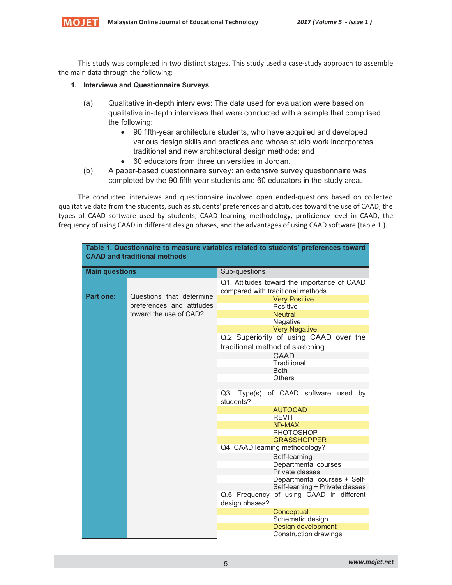

This study was completed in two distinct stages. This study used a case-study approach to assemble the main data through the following:

## **1. Interviews and Questionnaire Surveys**

- (a) Qualitative in-depth interviews: The data used for evaluation were based on qualitative in-depth interviews that were conducted with a sample that comprised the following:
	- 90 fifth-year architecture students, who have acquired and developed various design skills and practices and whose studio work incorporates traditional and new architectural design methods; and
	- 60 educators from three universities in Jordan.
- (b) A paper-based questionnaire survey: an extensive survey questionnaire was completed by the 90 fifth-year students and 60 educators in the study area.

The conducted interviews and questionnaire involved open ended-questions based on collected qualitative data from the students, such as students' preferences and attitudes toward the use of CAAD, the types of CAAD software used by students, CAAD learning methodology, proficiency level in CAAD, the frequency of using CAAD in different design phases, and the advantages of using CAAD software (table 1.).

| Table 1. Questionnaire to measure variables related to students' preferences toward<br><b>CAAD and traditional methods</b> |                                                            |                                                                                                          |  |  |  |  |  |
|----------------------------------------------------------------------------------------------------------------------------|------------------------------------------------------------|----------------------------------------------------------------------------------------------------------|--|--|--|--|--|
| <b>Main questions</b>                                                                                                      |                                                            | Sub-questions                                                                                            |  |  |  |  |  |
| Part one:                                                                                                                  | Questions that determine                                   | Q1. Attitudes toward the importance of CAAD<br>compared with traditional methods<br><b>Very Positive</b> |  |  |  |  |  |
|                                                                                                                            | preferences and attitudes                                  | Positive                                                                                                 |  |  |  |  |  |
|                                                                                                                            | toward the use of CAD?                                     | <b>Neutral</b>                                                                                           |  |  |  |  |  |
|                                                                                                                            |                                                            | <b>Negative</b><br><b>Very Negative</b>                                                                  |  |  |  |  |  |
|                                                                                                                            |                                                            | Q.2 Superiority of using CAAD over the                                                                   |  |  |  |  |  |
|                                                                                                                            |                                                            | traditional method of sketching                                                                          |  |  |  |  |  |
|                                                                                                                            |                                                            | <b>CAAD</b>                                                                                              |  |  |  |  |  |
|                                                                                                                            |                                                            | Traditional                                                                                              |  |  |  |  |  |
|                                                                                                                            |                                                            | <b>Both</b>                                                                                              |  |  |  |  |  |
|                                                                                                                            |                                                            | Others                                                                                                   |  |  |  |  |  |
|                                                                                                                            | of CAAD software used by<br>Q3. Type(s)<br>students?       |                                                                                                          |  |  |  |  |  |
|                                                                                                                            |                                                            | <b>AUTOCAD</b>                                                                                           |  |  |  |  |  |
|                                                                                                                            |                                                            | <b>REVIT</b>                                                                                             |  |  |  |  |  |
|                                                                                                                            |                                                            | 3D-MAX<br><b>PHOTOSHOP</b>                                                                               |  |  |  |  |  |
|                                                                                                                            | <b>GRASSHOPPER</b>                                         |                                                                                                          |  |  |  |  |  |
|                                                                                                                            |                                                            | Q4. CAAD learning methodology?                                                                           |  |  |  |  |  |
|                                                                                                                            |                                                            | Self-learning                                                                                            |  |  |  |  |  |
|                                                                                                                            |                                                            | Departmental courses                                                                                     |  |  |  |  |  |
|                                                                                                                            |                                                            | Private classes                                                                                          |  |  |  |  |  |
|                                                                                                                            |                                                            | Departmental courses + Self-<br>Self-learning + Private classes                                          |  |  |  |  |  |
|                                                                                                                            | Q.5 Frequency of using CAAD in different<br>design phases? |                                                                                                          |  |  |  |  |  |
|                                                                                                                            |                                                            | Conceptual                                                                                               |  |  |  |  |  |
|                                                                                                                            |                                                            | Schematic design                                                                                         |  |  |  |  |  |
|                                                                                                                            |                                                            | Design development                                                                                       |  |  |  |  |  |
|                                                                                                                            |                                                            | Construction drawings                                                                                    |  |  |  |  |  |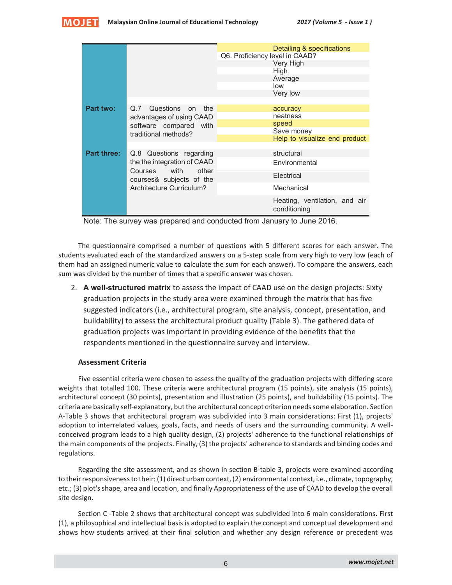



| Q6. Proficiency level in CAAD?<br>Very High<br>High<br>Average<br>low<br>Very low<br>Part two:<br>Q.7 Questions on<br>the<br>accuracy<br>neatness<br>advantages of using CAAD<br>speed<br>software compared with<br>Save money<br>traditional methods?<br>Help to visualize end product<br><b>Part three:</b><br>structural<br>Q.8 Questions regarding<br>the the integration of CAAD<br>Environmental<br>Courses with<br>other |  |  | Detailing & specifications    |  |  |  |  |  |
|---------------------------------------------------------------------------------------------------------------------------------------------------------------------------------------------------------------------------------------------------------------------------------------------------------------------------------------------------------------------------------------------------------------------------------|--|--|-------------------------------|--|--|--|--|--|
|                                                                                                                                                                                                                                                                                                                                                                                                                                 |  |  |                               |  |  |  |  |  |
|                                                                                                                                                                                                                                                                                                                                                                                                                                 |  |  |                               |  |  |  |  |  |
|                                                                                                                                                                                                                                                                                                                                                                                                                                 |  |  |                               |  |  |  |  |  |
|                                                                                                                                                                                                                                                                                                                                                                                                                                 |  |  |                               |  |  |  |  |  |
|                                                                                                                                                                                                                                                                                                                                                                                                                                 |  |  |                               |  |  |  |  |  |
|                                                                                                                                                                                                                                                                                                                                                                                                                                 |  |  |                               |  |  |  |  |  |
|                                                                                                                                                                                                                                                                                                                                                                                                                                 |  |  |                               |  |  |  |  |  |
|                                                                                                                                                                                                                                                                                                                                                                                                                                 |  |  |                               |  |  |  |  |  |
|                                                                                                                                                                                                                                                                                                                                                                                                                                 |  |  |                               |  |  |  |  |  |
|                                                                                                                                                                                                                                                                                                                                                                                                                                 |  |  |                               |  |  |  |  |  |
|                                                                                                                                                                                                                                                                                                                                                                                                                                 |  |  |                               |  |  |  |  |  |
|                                                                                                                                                                                                                                                                                                                                                                                                                                 |  |  |                               |  |  |  |  |  |
|                                                                                                                                                                                                                                                                                                                                                                                                                                 |  |  |                               |  |  |  |  |  |
|                                                                                                                                                                                                                                                                                                                                                                                                                                 |  |  |                               |  |  |  |  |  |
|                                                                                                                                                                                                                                                                                                                                                                                                                                 |  |  |                               |  |  |  |  |  |
| Electrical<br>courses& subjects of the                                                                                                                                                                                                                                                                                                                                                                                          |  |  |                               |  |  |  |  |  |
| Architecture Curriculum?<br>Mechanical                                                                                                                                                                                                                                                                                                                                                                                          |  |  |                               |  |  |  |  |  |
| conditioning                                                                                                                                                                                                                                                                                                                                                                                                                    |  |  | Heating, ventilation, and air |  |  |  |  |  |

Note: The survey was prepared and conducted from January to June 2016.

The questionnaire comprised a number of questions with 5 different scores for each answer. The students evaluated each of the standardized answers on a 5-step scale from very high to very low (each of them had an assigned numeric value to calculate the sum for each answer). To compare the answers, each sum was divided by the number of times that a specific answer was chosen.

2. **A well-structured matrix** to assess the impact of CAAD use on the design projects: Sixty graduation projects in the study area were examined through the matrix that has five suggested indicators (i.e., architectural program, site analysis, concept, presentation, and buildability) to assess the architectural product quality (Table 3). The gathered data of graduation projects was important in providing evidence of the benefits that the respondents mentioned in the questionnaire survey and interview.

#### **Assessment Criteria**

Five essential criteria were chosen to assess the quality of the graduation projects with differing score weights that totalled 100. These criteria were architectural program (15 points), site analysis (15 points), architectural concept (30 points), presentation and illustration (25 points), and buildability (15 points). The criteria are basically self-explanatory, but the architectural concept criterion needs some elaboration. Section A-Table 3 shows that architectural program was subdivided into 3 main considerations: First (1), projects' adoption to interrelated values, goals, facts, and needs of users and the surrounding community. A wellconceived program leads to a high quality design, (2) projects' adherence to the functional relationships of the main components of the projects. Finally, (3) the projects' adherence to standards and binding codes and regulations.

Regarding the site assessment, and as shown in section B-table 3, projects were examined according to their responsiveness to their: (1) direct urban context, (2) environmental context, i.e., climate, topography, etc.; (3) plot's shape, area and location, and finally Appropriateness of the use of CAAD to develop the overall site design.

Section C -Table 2 shows that architectural concept was subdivided into 6 main considerations. First (1), a philosophical and intellectual basis is adopted to explain the concept and conceptual development and shows how students arrived at their final solution and whether any design reference or precedent was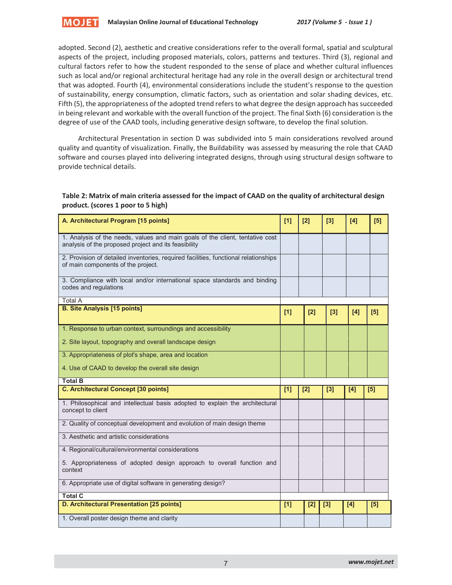

adopted. Second (2), aesthetic and creative considerations refer to the overall formal, spatial and sculptural aspects of the project, including proposed materials, colors, patterns and textures. Third (3), regional and cultural factors refer to how the student responded to the sense of place and whether cultural influences such as local and/or regional architectural heritage had any role in the overall design or architectural trend that was adopted. Fourth (4), environmental considerations include the student's response to the question of sustainability, energy consumption, climatic factors, such as orientation and solar shading devices, etc. Fifth (5), the appropriateness of the adopted trend refers to what degree the design approach has succeeded in being relevant and workable with the overall function of the project. The final Sixth (6) consideration is the degree of use of the CAAD tools, including generative design software, to develop the final solution.

Architectural Presentation in section D was subdivided into 5 main considerations revolved around quality and quantity of visualization. Finally, the Buildability was assessed by measuring the role that CAAD software and courses played into delivering integrated designs, through using structural design software to provide technical details.

## **Table 2: Matrix of main criteria assessed for the impact of CAAD on the quality of architectural design product. (scores 1 poor to 5 high)**

| A. Architectural Program [15 points]                                                                                                  | [1] | [2] | [3]   | [4] | [5] |
|---------------------------------------------------------------------------------------------------------------------------------------|-----|-----|-------|-----|-----|
| 1. Analysis of the needs, values and main goals of the client, tentative cost<br>analysis of the proposed project and its feasibility |     |     |       |     |     |
| 2. Provision of detailed inventories, required facilities, functional relationships<br>of main components of the project.             |     |     |       |     |     |
| 3. Compliance with local and/or international space standards and binding<br>codes and regulations                                    |     |     |       |     |     |
| Total A                                                                                                                               |     |     |       |     |     |
| <b>B. Site Analysis [15 points]</b>                                                                                                   | [1] | [2] | [3]   | [4] | [5] |
| 1. Response to urban context, surroundings and accessibility                                                                          |     |     |       |     |     |
| 2. Site layout, topography and overall landscape design                                                                               |     |     |       |     |     |
| 3. Appropriateness of plot's shape, area and location                                                                                 |     |     |       |     |     |
| 4. Use of CAAD to develop the overall site design                                                                                     |     |     |       |     |     |
| <b>Total B</b>                                                                                                                        |     |     |       |     |     |
| <b>C. Architectural Concept [30 points]</b>                                                                                           | [1] | [2] | [3]   | [4] | [5] |
| 1. Philosophical and intellectual basis adopted to explain the architectural<br>concept to client                                     |     |     |       |     |     |
| 2. Quality of conceptual development and evolution of main design theme                                                               |     |     |       |     |     |
| 3. Aesthetic and artistic considerations                                                                                              |     |     |       |     |     |
| 4. Regional/cultural/environmental considerations                                                                                     |     |     |       |     |     |
| 5. Appropriateness of adopted design approach to overall function and<br>context                                                      |     |     |       |     |     |
| 6. Appropriate use of digital software in generating design?                                                                          |     |     |       |     |     |
|                                                                                                                                       |     |     |       |     |     |
| <b>Total C</b>                                                                                                                        |     |     |       |     |     |
| D. Architectural Presentation [25 points]                                                                                             | [1] | [2] | $[3]$ | [4] | [5] |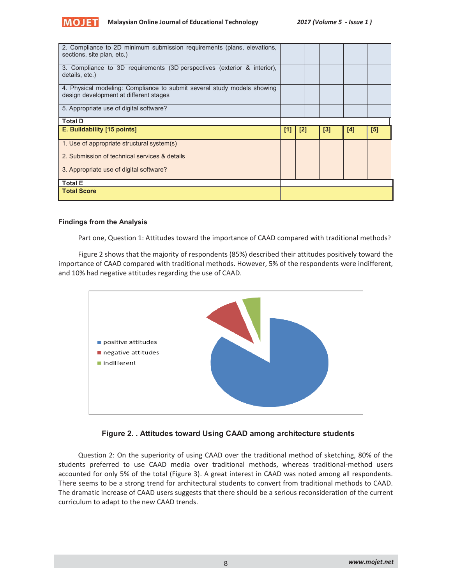

| 2. Compliance to 2D minimum submission requirements (plans, elevations,<br>sections, site plan, etc.)             |     |     |     |     |     |
|-------------------------------------------------------------------------------------------------------------------|-----|-----|-----|-----|-----|
| 3. Compliance to 3D requirements (3D perspectives (exterior & interior),<br>details, etc.)                        |     |     |     |     |     |
| 4. Physical modeling: Compliance to submit several study models showing<br>design development at different stages |     |     |     |     |     |
| 5. Appropriate use of digital software?                                                                           |     |     |     |     |     |
| <b>Total D</b>                                                                                                    |     |     |     |     |     |
|                                                                                                                   |     |     |     |     |     |
| E. Buildability [15 points]                                                                                       | [1] | [2] | [3] | [4] | [5] |
| 1. Use of appropriate structural system(s)                                                                        |     |     |     |     |     |
| 2. Submission of technical services & details                                                                     |     |     |     |     |     |
| 3. Appropriate use of digital software?                                                                           |     |     |     |     |     |
| <b>Total E</b>                                                                                                    |     |     |     |     |     |

#### **Findings from the Analysis**

Part one, Question 1: Attitudes toward the importance of CAAD compared with traditional methods?

Figure 2 shows that the majority of respondents (85%) described their attitudes positively toward the importance of CAAD compared with traditional methods. However, 5% of the respondents were indifferent, and 10% had negative attitudes regarding the use of CAAD.





Question 2: On the superiority of using CAAD over the traditional method of sketching, 80% of the students preferred to use CAAD media over traditional methods, whereas traditional-method users accounted for only 5% of the total (Figure 3). A great interest in CAAD was noted among all respondents. There seems to be a strong trend for architectural students to convert from traditional methods to CAAD. The dramatic increase of CAAD users suggests that there should be a serious reconsideration of the current curriculum to adapt to the new CAAD trends.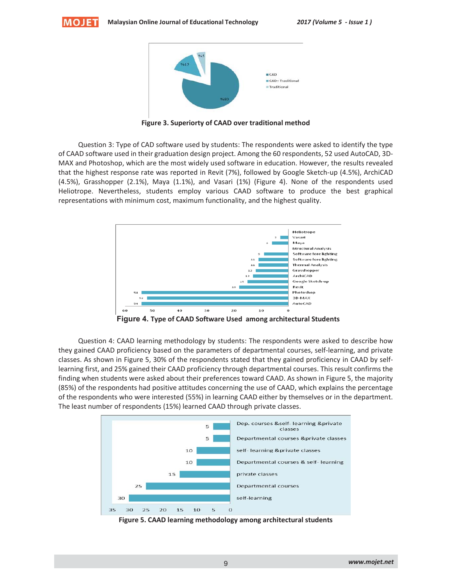



**Figure 3. Superiorty of CAAD over traditional method** 

Question 3: Type of CAD software used by students: The respondents were asked to identify the type of CAAD software used in their graduation design project. Among the 60 respondents, 52 used AutoCAD, 3D-MAX and Photoshop, which are the most widely used software in education. However, the results revealed that the highest response rate was reported in Revit (7%), followed by Google Sketch-up (4.5%), ArchiCAD (4.5%), Grasshopper (2.1%), Maya (1.1%), and Vasari (1%) (Figure 4). None of the respondents used Heliotrope. Nevertheless, students employ various CAAD software to produce the best graphical representations with minimum cost, maximum functionality, and the highest quality.



**Figure 4. Type of CAAD Software Used among architectural Students**

Question 4: CAAD learning methodology by students: The respondents were asked to describe how they gained CAAD proficiency based on the parameters of departmental courses, self-learning, and private classes. As shown in Figure 5, 30% of the respondents stated that they gained proficiency in CAAD by selflearning first, and 25% gained their CAAD proficiency through departmental courses. This result confirms the finding when students were asked about their preferences toward CAAD. As shown in Figure 5, the majority (85%) of the respondents had positive attitudes concerning the use of CAAD, which explains the percentage of the respondents who were interested (55%) in learning CAAD either by themselves or in the department. The least number of respondents (15%) learned CAAD through private classes.



**Figure 5. CAAD learning methodology among architectural students**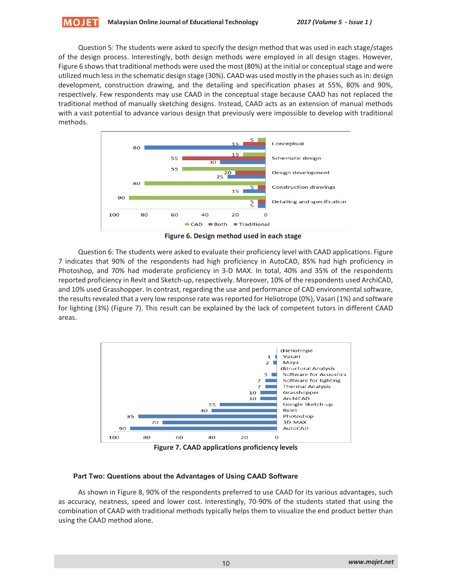Question 5: The students were asked to specify the design method that was used in each stage/stages of the design process. Interestingly, both design methods were employed in all design stages. However, Figure 6 shows that traditional methods were used the most (80%) at the initial or conceptual stage and were utilized much less in the schematic design stage (30%). CAAD was used mostly in the phases such as in: design development, construction drawing, and the detailing and specification phases at 55%, 80% and 90%, respectively. Few respondents may use CAAD in the conceptual stage because CAAD has not replaced the traditional method of manually sketching designs. Instead, CAAD acts as an extension of manual methods with a vast potential to advance various design that previously were impossible to develop with traditional methods.



**Figure 6. Design method used in each stage**

Question 6: The students were asked to evaluate their proficiency level with CAAD applications. Figure 7 indicates that 90% of the respondents had high proficiency in AutoCAD, 85% had high proficiency in Photoshop, and 70% had moderate proficiency in 3-D MAX. In total, 40% and 35% of the respondents reported proficiency in Revit and Sketch-up, respectively. Moreover, 10% of the respondents used ArchiCAD, and 10% used Grasshopper. In contrast, regarding the use and performance of CAD environmental software, the results revealed that a very low response rate was reported for Heliotrope (0%), Vasari (1%) and software for lighting (3%) (Figure 7). This result can be explained by the lack of competent tutors in different CAAD areas.



**Figure 7. CAAD applications proficiency levels** 

## **Part Two: Questions about the Advantages of Using CAAD Software**

As shown in Figure 8, 90% of the respondents preferred to use CAAD for its various advantages, such as accuracy, neatness, speed and lower cost. Interestingly, 70-90% of the students stated that using the combination of CAAD with traditional methods typically helps them to visualize the end product better than using the CAAD method alone.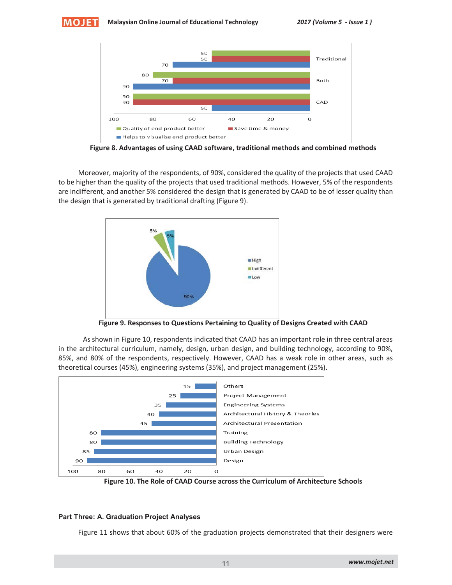



**Figure 8. Advantages of using CAAD software, traditional methods and combined methods** 

Moreover, majority of the respondents, of 90%, considered the quality of the projects that used CAAD to be higher than the quality of the projects that used traditional methods. However, 5% of the respondents are indifferent, and another 5% considered the design that is generated by CAAD to be of lesser quality than the design that is generated by traditional drafting (Figure 9).



**Figure 9. Responses to Questions Pertaining to Quality of Designs Created with CAAD**

As shown in Figure 10, respondents indicated that CAAD has an important role in three central areas in the architectural curriculum, namely, design, urban design, and building technology, according to 90%, 85%, and 80% of the respondents, respectively. However, CAAD has a weak role in other areas, such as theoretical courses (45%), engineering systems (35%), and project management (25%).



**Figure 10. The Role of CAAD Course across the Curriculum of Architecture Schools**

#### **Part Three: A. Graduation Project Analyses**

Figure 11 shows that about 60% of the graduation projects demonstrated that their designers were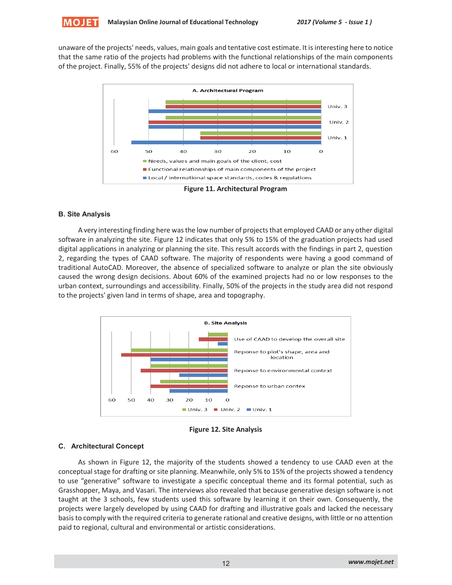unaware of the projects' needs, values, main goals and tentative cost estimate. It is interesting here to notice that the same ratio of the projects had problems with the functional relationships of the main components of the project. Finally, 55% of the projects' designs did not adhere to local or international standards.



#### **B. Site Analysis**

A very interesting finding here was the low number of projects that employed CAAD or any other digital software in analyzing the site. Figure 12 indicates that only 5% to 15% of the graduation projects had used digital applications in analyzing or planning the site. This result accords with the findings in part 2, question 2, regarding the types of CAAD software. The majority of respondents were having a good command of traditional AutoCAD. Moreover, the absence of specialized software to analyze or plan the site obviously caused the wrong design decisions. About 60% of the examined projects had no or low responses to the urban context, surroundings and accessibility. Finally, 50% of the projects in the study area did not respond to the projects' given land in terms of shape, area and topography.



**Figure 12. Site Analysis** 

## **C. Architectural Concept**

As shown in Figure 12, the majority of the students showed a tendency to use CAAD even at the conceptual stage for drafting or site planning. Meanwhile, only 5% to 15% of the projects showed a tendency to use "generative" software to investigate a specific conceptual theme and its formal potential, such as Grasshopper, Maya, and Vasari. The interviews also revealed that because generative design software is not taught at the 3 schools, few students used this software by learning it on their own. Consequently, the projects were largely developed by using CAAD for drafting and illustrative goals and lacked the necessary basis to comply with the required criteria to generate rational and creative designs, with little or no attention paid to regional, cultural and environmental or artistic considerations.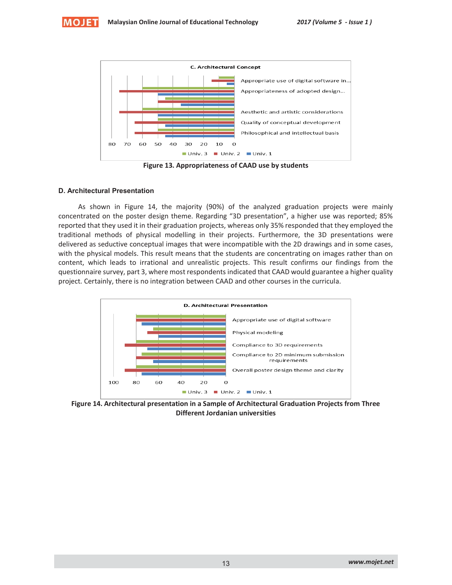



**Figure 13. Appropriateness of CAAD use by students** 

## **D. Architectural Presentation**

As shown in Figure 14, the majority (90%) of the analyzed graduation projects were mainly concentrated on the poster design theme. Regarding "3D presentation", a higher use was reported; 85% reported that they used it in their graduation projects, whereas only 35% responded that they employed the traditional methods of physical modelling in their projects. Furthermore, the 3D presentations were delivered as seductive conceptual images that were incompatible with the 2D drawings and in some cases, with the physical models. This result means that the students are concentrating on images rather than on content, which leads to irrational and unrealistic projects. This result confirms our findings from the questionnaire survey, part 3, where most respondents indicated that CAAD would guarantee a higher quality project. Certainly, there is no integration between CAAD and other courses in the curricula.



**Figure 14. Architectural presentation in a Sample of Architectural Graduation Projects from Three Different Jordanian universities**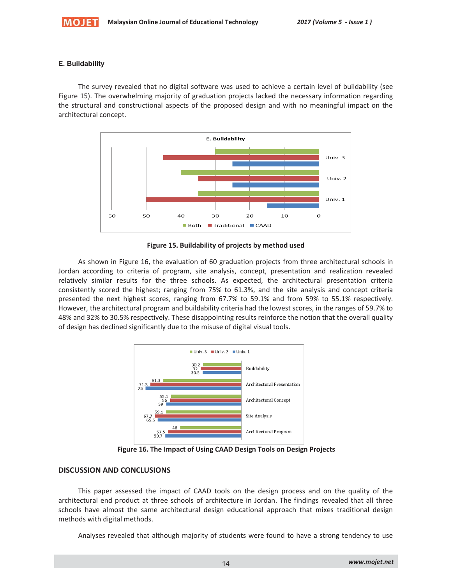

#### **E. Buildability**

The survey revealed that no digital software was used to achieve a certain level of buildability (see Figure 15). The overwhelming majority of graduation projects lacked the necessary information regarding the structural and constructional aspects of the proposed design and with no meaningful impact on the architectural concept.



**Figure 15. Buildability of projects by method used**

As shown in Figure 16, the evaluation of 60 graduation projects from three architectural schools in Jordan according to criteria of program, site analysis, concept, presentation and realization revealed relatively similar results for the three schools. As expected, the architectural presentation criteria consistently scored the highest; ranging from 75% to 61.3%, and the site analysis and concept criteria presented the next highest scores, ranging from 67.7% to 59.1% and from 59% to 55.1% respectively. However, the architectural program and buildability criteria had the lowest scores, in the ranges of 59.7% to 48% and 32% to 30.5% respectively. These disappointing results reinforce the notion that the overall quality of design has declined significantly due to the misuse of digital visual tools.



**Figure 16. The Impact of Using CAAD Design Tools on Design Projects**

#### **DISCUSSION AND CONCLUSIONS**

This paper assessed the impact of CAAD tools on the design process and on the quality of the architectural end product at three schools of architecture in Jordan. The findings revealed that all three schools have almost the same architectural design educational approach that mixes traditional design methods with digital methods.

Analyses revealed that although majority of students were found to have a strong tendency to use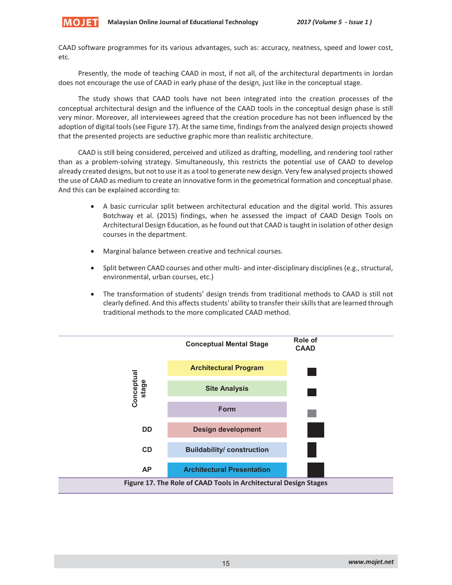

CAAD software programmes for its various advantages, such as: accuracy, neatness, speed and lower cost, etc.

Presently, the mode of teaching CAAD in most, if not all, of the architectural departments in Jordan does not encourage the use of CAAD in early phase of the design, just like in the conceptual stage.

The study shows that CAAD tools have not been integrated into the creation processes of the conceptual architectural design and the influence of the CAAD tools in the conceptual design phase is still very minor. Moreover, all interviewees agreed that the creation procedure has not been influenced by the adoption of digital tools (see Figure 17). At the same time, findings from the analyzed design projects showed that the presented projects are seductive graphic more than realistic architecture.

CAAD is still being considered, perceived and utilized as drafting, modelling, and rendering tool rather than as a problem-solving strategy. Simultaneously, this restricts the potential use of CAAD to develop already created designs, but not to use it as a tool to generate new design. Very few analysed projects showed the use of CAAD as medium to create an innovative form in the geometrical formation and conceptual phase. And this can be explained according to:

- A basic curricular split between architectural education and the digital world. This assures Botchway et al. (2015) findings, when he assessed the impact of CAAD Design Tools on Architectural Design Education, as he found out that CAAD is taught in isolation of other design courses in the department.
- Marginal balance between creative and technical courses.
- Split between CAAD courses and other multi- and inter-disciplinary disciplines (e.g., structural, environmental, urban courses, etc.)
- The transformation of students' design trends from traditional methods to CAAD is still not clearly defined. And this affects students' ability to transfer their skills that are learned through traditional methods to the more complicated CAAD method.

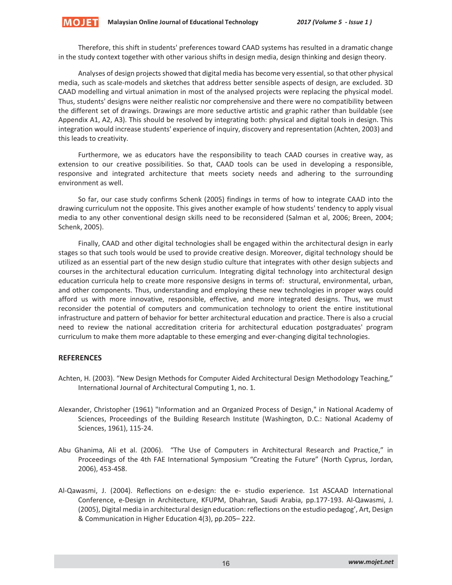Therefore, this shift in students' preferences toward CAAD systems has resulted in a dramatic change in the study context together with other various shifts in design media, design thinking and design theory.

Analyses of design projects showed that digital media has become very essential, so that other physical media, such as scale-models and sketches that address better sensible aspects of design, are excluded. 3D CAAD modelling and virtual animation in most of the analysed projects were replacing the physical model. Thus, students' designs were neither realistic nor comprehensive and there were no compatibility between the different set of drawings. Drawings are more seductive artistic and graphic rather than buildable (see Appendix A1, A2, A3). This should be resolved by integrating both: physical and digital tools in design. This integration would increase students' experience of inquiry, discovery and representation (Achten, 2003) and this leads to creativity.

Furthermore, we as educators have the responsibility to teach CAAD courses in creative way, as extension to our creative possibilities. So that, CAAD tools can be used in developing a responsible, responsive and integrated architecture that meets society needs and adhering to the surrounding environment as well.

So far, our case study confirms Schenk (2005) findings in terms of how to integrate CAAD into the drawing curriculum not the opposite. This gives another example of how students' tendency to apply visual media to any other conventional design skills need to be reconsidered (Salman et al, 2006; Breen, 2004; Schenk, 2005).

Finally, CAAD and other digital technologies shall be engaged within the architectural design in early stages so that such tools would be used to provide creative design. Moreover, digital technology should be utilized as an essential part of the new design studio culture that integrates with other design subjects and courses in the architectural education curriculum. Integrating digital technology into architectural design education curricula help to create more responsive designs in terms of: structural, environmental, urban, and other components. Thus, understanding and employing these new technologies in proper ways could afford us with more innovative, responsible, effective, and more integrated designs. Thus, we must reconsider the potential of computers and communication technology to orient the entire institutional infrastructure and pattern of behavior for better architectural education and practice. There is also a crucial need to review the national accreditation criteria for architectural education postgraduates' program curriculum to make them more adaptable to these emerging and ever-changing digital technologies.

#### **REFERENCES**

MOJET

- Achten, H. (2003). "New Design Methods for Computer Aided Architectural Design Methodology Teaching," International Journal of Architectural Computing 1, no. 1.
- Alexander, Christopher (1961) "Information and an Organized Process of Design," in National Academy of Sciences, Proceedings of the Building Research Institute (Washington, D.C.: National Academy of Sciences, 1961), 115-24.
- Abu Ghanima, Ali et al. (2006). "The Use of Computers in Architectural Research and Practice," in Proceedings of the 4th FAE International Symposium "Creating the Future" (North Cyprus, Jordan, 2006), 453-458.
- Al-Qawasmi, J. (2004). Reflections on e-design: the e- studio experience. 1st ASCAAD International Conference, e-Design in Architecture, KFUPM, Dhahran, Saudi Arabia, pp.177-193. Al-Qawasmi, J. (2005), Digital media in architectural design education: reflections on the estudio pedagog', Art, Design & Communication in Higher Education 4(3), pp.205– 222.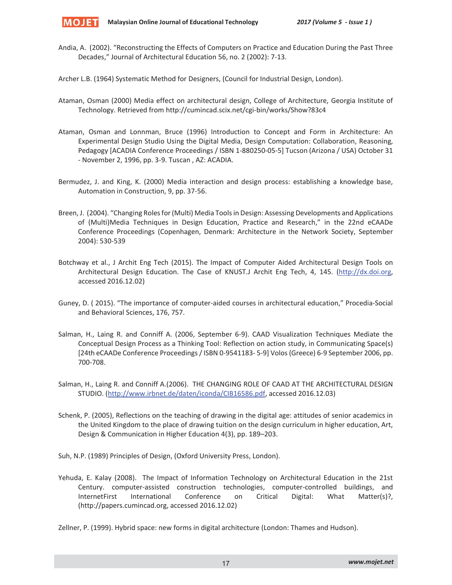

Andia, A. (2002). "Reconstructing the Effects of Computers on Practice and Education During the Past Three Decades," Journal of Architectural Education 56, no. 2 (2002): 7-13.

Archer L.B. (1964) Systematic Method for Designers, (Council for Industrial Design, London).

- Ataman, Osman (2000) Media effect on architectural design, College of Architecture, Georgia Institute of Technology. Retrieved from http://cumincad.scix.net/cgi-bin/works/Show?83c4
- Ataman, Osman and Lonnman, Bruce (1996) Introduction to Concept and Form in Architecture: An Experimental Design Studio Using the Digital Media, Design Computation: Collaboration, Reasoning, Pedagogy [ACADIA Conference Proceedings / ISBN 1-880250-05-5] Tucson (Arizona / USA) October 31 - November 2, 1996, pp. 3-9. Tuscan , AZ: ACADIA.
- Bermudez, J. and King, K. (2000) Media interaction and design process: establishing a knowledge base, Automation in Construction, 9, pp. 37-56.
- Breen, J. (2004). "Changing Roles for (Multi) Media Tools in Design: Assessing Developments and Applications of (Multi)Media Techniques in Design Education, Practice and Research," in the 22nd eCAADe Conference Proceedings (Copenhagen, Denmark: Architecture in the Network Society, September 2004): 530-539
- Botchway et al., J Archit Eng Tech (2015). The Impact of Computer Aided Architectural Design Tools on Architectural Design Education. The Case of KNUST.J Archit Eng Tech, 4, 145. (http://dx.doi.org, accessed 2016.12.02)
- Guney, D. ( 2015). "The importance of computer-aided courses in architectural education," Procedia-Social and Behavioral Sciences, 176, 757.
- Salman, H., Laing R. and Conniff A. (2006, September 6-9). CAAD Visualization Techniques Mediate the Conceptual Design Process as a Thinking Tool: Reflection on action study, in Communicating Space(s) [24th eCAADe Conference Proceedings / ISBN 0-9541183- 5-9] Volos (Greece) 6-9 September 2006, pp. 700-708.
- Salman, H., Laing R. and Conniff A.(2006). THE CHANGING ROLE OF CAAD AT THE ARCHITECTURAL DESIGN STUDIO. (http://www.irbnet.de/daten/iconda/CIB16586.pdf, accessed 2016.12.03)
- Schenk, P. (2005), Reflections on the teaching of drawing in the digital age: attitudes of senior academics in the United Kingdom to the place of drawing tuition on the design curriculum in higher education, Art, Design & Communication in Higher Education 4(3), pp. 189–203.

Suh, N.P. (1989) Principles of Design, (Oxford University Press, London).

Yehuda, E. Kalay (2008). The Impact of Information Technology on Architectural Education in the 21st Century. computer-assisted construction technologies, computer-controlled buildings, and InternetFirst International Conference on Critical Digital: What Matter(s)?, (http://papers.cumincad.org, accessed 2016.12.02)

Zellner, P. (1999). Hybrid space: new forms in digital architecture (London: Thames and Hudson).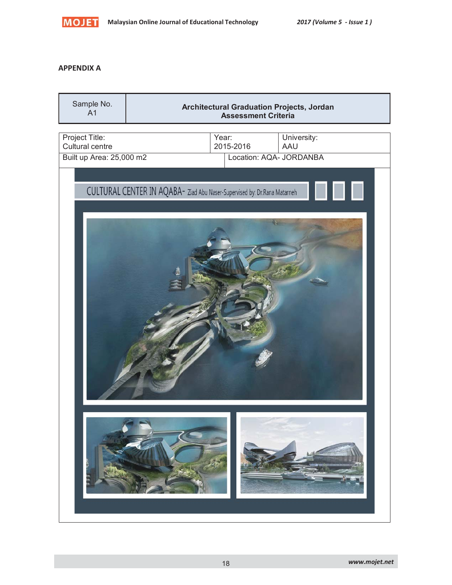

## **APPENDIX A**

| Sample No.<br>A <sub>1</sub>      |                                                                          | <b>Architectural Graduation Projects, Jordan</b><br><b>Assessment Criteria</b> |
|-----------------------------------|--------------------------------------------------------------------------|--------------------------------------------------------------------------------|
| Project Title:<br>Cultural centre | Year:<br>2015-2016                                                       | University:<br>AAU                                                             |
| Built up Area: 25,000 m2          |                                                                          | Location: AQA- JORDANBA                                                        |
|                                   | CULTURAL CENTER IN AQABA- Ziad Abu Naser-Supervised by: Dr.Rana Matarneh |                                                                                |
|                                   |                                                                          |                                                                                |
|                                   |                                                                          |                                                                                |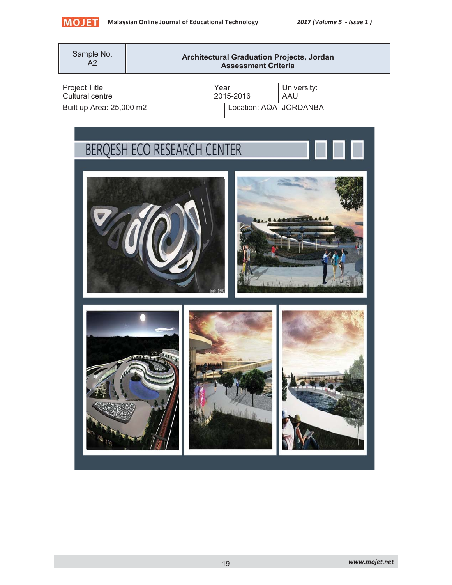